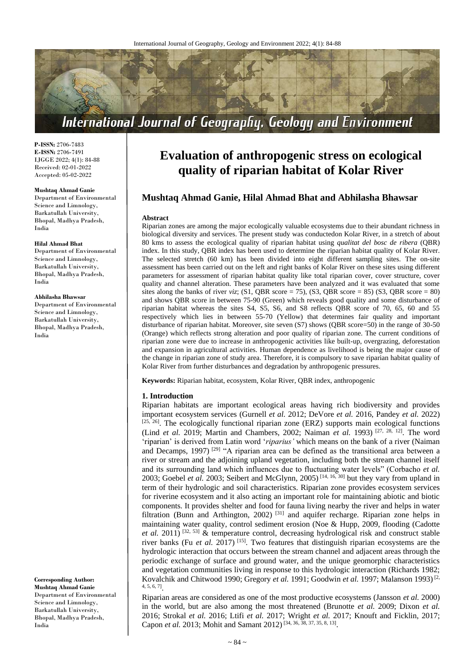

**P-ISSN:** 2706-7483 **E-ISSN:** 2706-7491 IJGGE 2022; 4(1): 84-88 Received: 02-01-2022 Accepted: 05-02-2022

#### **Mushtaq Ahmad Ganie**

Department of Environmental Science and Limnology, Barkatullah University, Bhopal, Madhya Pradesh, India

#### **Hilal Ahmad Bhat**

Department of Environmental Science and Limnology, Barkatullah University, Bhopal, Madhya Pradesh, India

### **Abhilasha Bhawsar**

Department of Environmental Science and Limnology, Barkatullah University, Bhopal, Madhya Pradesh, India

**Corresponding Author: Mushtaq Ahmad Ganie** Department of Environmental Science and Limnology, Barkatullah University, Bhopal, Madhya Pradesh, India

# **Evaluation of anthropogenic stress on ecological quality of riparian habitat of Kolar River**

# **Mushtaq Ahmad Ganie, Hilal Ahmad Bhat and Abhilasha Bhawsar**

## **Abstract**

Riparian zones are among the major ecologically valuable ecosystems due to their abundant richness in biological diversity and services. The present study was conductedon Kolar River, in a stretch of about 80 kms to assess the ecological quality of riparian habitat using *qualitat del bosc de ribera* (QBR) index. In this study, QBR index has been used to determine the riparian habitat quality of Kolar River. The selected stretch (60 km) has been divided into eight different sampling sites. The on-site assessment has been carried out on the left and right banks of Kolar River on these sites using different parameters for assessment of riparian habitat quality like total riparian cover, cover structure, cover quality and channel alteration. These parameters have been analyzed and it was evaluated that some sites along the banks of river *viz*; (S1, QBR score = 75), (S3, QBR score = 85) (S3, QBR score = 80) and shows QBR score in between 75-90 (Green) which reveals good quality and some disturbance of riparian habitat whereas the sites S4, S5, S6, and S8 reflects QBR score of 70, 65, 60 and 55 respectively which lies in between 55-70 (Yellow) that determines fair quality and important disturbance of riparian habitat. Moreover, site seven (S7) shows (QBR score=50) in the range of 30-50 (Orange) which reflects strong alteration and poor quality of riparian zone. The current conditions of riparian zone were due to increase in anthropogenic activities like built-up, overgrazing, deforestation and expansion in agricultural activities. Human dependence as livelihood is being the major cause of the change in riparian zone of study area. Therefore, it is compulsory to save riparian habitat quality of Kolar River from further disturbances and degradation by anthropogenic pressures.

**Keywords:** Riparian habitat, ecosystem, Kolar River, QBR index, anthropogenic

## **1. Introduction**

Riparian habitats are important ecological areas having rich biodiversity and provides important ecosystem services (Gurnell *et al.* 2012; DeVore *et al.* 2016, Pandey *et al.* 2022)  $[25, 26]$ . The ecologically functional riparian zone (ERZ) supports main ecological functions (Lind *et al.* 2019; Martin and Chambers, 2002; Naiman *et al.* 1993)<sup>[27, 28, 12]. The word</sup> 'riparian' is derived from Latin word '*riparius'* which means on the bank of a river (Naiman and Decamps, 1997)<sup>[29]</sup> "A riparian area can be defined as the transitional area between a river or stream and the adjoining upland vegetation, including both the stream channel itself and its surrounding land which influences due to fluctuating water levels" (Corbacho *et al.* 2003; Goebel *et al.* 2003; Seibert and McGlynn, 2005) [14, 16, 30] but they vary from upland in term of their hydrologic and soil characteristics. Riparian zone provides ecosystem services for riverine ecosystem and it also acting an important role for maintaining abiotic and biotic components. It provides shelter and food for fauna living nearby the river and helps in water filtration (Bunn and Arthington, 2002)<sup>[31]</sup> and aquifer recharge. Riparian zone helps in maintaining water quality, control sediment erosion (Noe & Hupp, 2009, flooding (Cadotte *et al.* 2011) [32, 53] & temperature control, decreasing hydrological risk and construct stable river banks (Fu *et al.* 2017) [15] . Two features that distinguish riparian ecosystems are the hydrologic interaction that occurs between the stream channel and adjacent areas through the periodic exchange of surface and ground water, and the unique geomorphic characteristics and vegetation communities living in response to this hydrologic interaction (Richards 1982; Kovalchik and Chitwood 1990; Gregory et al. 1991; Goodwin et al. 1997; Malanson 1993)<sup>[2,</sup> 4, 5, 6, 7] .

Riparian areas are considered as one of the most productive ecosystems (Jansson *et al.* 2000) in the world, but are also among the most threatened (Brunotte *et al.* 2009; Dixon *et al.* 2016; Strokal *et al.* 2016; Ltifi *et al.* 2017; Wright *et al.* 2017; Knouft and Ficklin, 2017; Capon *et al.* 2013; Mohit and Samant 2012)<sup>[34, 36, 38, 37, 35, 8, 13].</sup>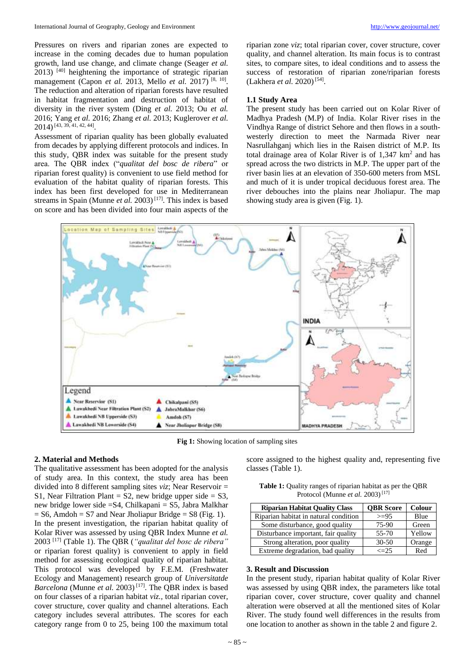Pressures on rivers and riparian zones are expected to increase in the coming decades due to human population growth, land use change, and climate change (Seager *et al.* 2013) [40] heightening the importance of strategic riparian management (Capon *et al.* 2013, Mello *et al.* 2017) [8, 10] . The reduction and alteration of riparian forests have resulted in habitat fragmentation and destruction of habitat of diversity in the river system (Ding *et al.* 2013; Ou *et al.* 2016; Yang *et al.* 2016; Zhang *et al.* 2013; Kuglerover *et al.* 2014)[43, 39, 41, 42, 44] .

Assessment of riparian quality has been globally evaluated from decades by applying different protocols and indices. In this study, QBR index was suitable for the present study area. The QBR index ("*qualitat del bosc de ribera*" or riparian forest quality) is convenient to use field method for evaluation of the habitat quality of riparian forests. This index has been first developed for use in Mediterranean streams in Spain (Munne et al. 2003)<sup>[17]</sup>. This index is based on score and has been divided into four main aspects of the

riparian zone *viz*; total riparian cover, cover structure, cover quality, and channel alteration. Its main focus is to contrast sites, to compare sites, to ideal conditions and to assess the success of restoration of riparian zone/riparian forests (Lakhera *et al.* 2020)<sup>[54]</sup>.

## **1.1 Study Area**

The present study has been carried out on Kolar River of Madhya Pradesh (M.P) of India. Kolar River rises in the Vindhya Range of district Sehore and then flows in a southwesterly direction to meet the Narmada River near Nasrullahganj which lies in the Raisen district of M.P. Its total drainage area of Kolar River is of 1,347 km<sup>2</sup> and has spread across the two districts in M.P. The upper part of the river basin lies at an elevation of 350-600 meters from MSL and much of it is under tropical deciduous forest area. The river debouches into the plains near Jholiapur. The map showing study area is given (Fig. 1).



**Fig 1:** Showing location of sampling sites

## **2. Material and Methods**

The qualitative assessment has been adopted for the analysis of study area. In this context, the study area has been divided into 8 different sampling sites *viz*; Near Reservoir = S1, Near Filtration Plant =  $S2$ , new bridge upper side =  $S3$ , new bridge lower side =S4, Chilkapani = S5, Jabra Malkhar  $=$  S6, Amdoh  $=$  S7 and Near Jholiapur Bridge  $=$  S8 (Fig. 1). In the present investigation, the riparian habitat quality of Kolar River was assessed by using QBR Index Munne *et al.* 2003 [17] (Table 1). The QBR (*"qualitat del bosc de ribera"*  or riparian forest quality) is convenient to apply in field method for assessing ecological quality of riparian habitat. This protocol was developed by F.E.M. (Freshwater Ecology and Management) research group of *Universitatde Barcelona* (Munne *et al.* 2003) [17] . The QBR index is based on four classes of a riparian habitat *viz.,* total riparian cover, cover structure, cover quality and channel alterations. Each category includes several attributes. The scores for each category range from 0 to 25, being 100 the maximum total

score assigned to the highest quality and, representing five classes (Table 1).

Table 1: Quality ranges of riparian habitat as per the QBR Protocol (Munne *et al.* 2003)<sup>[17]</sup>

| <b>Riparian Habitat Quality Class</b> | <b>OBR</b> Score | Colour |
|---------------------------------------|------------------|--------|
| Riparian habitat in natural condition | $>= 95$          | Blue   |
| Some disturbance, good quality        | 75-90            | Green  |
| Disturbance important, fair quality   | $55 - 70$        | Yellow |
| Strong alteration, poor quality       | $30 - 50$        | Orange |
| Extreme degradation, bad quality      | $\leq$ 25        | Red    |

# **3. Result and Discussion**

In the present study, riparian habitat quality of Kolar River was assessed by using QBR index, the parameters like total riparian cover, cover structure, cover quality and channel alteration were observed at all the mentioned sites of Kolar River. The study found well differences in the results from one location to another as shown in the table 2 and figure 2.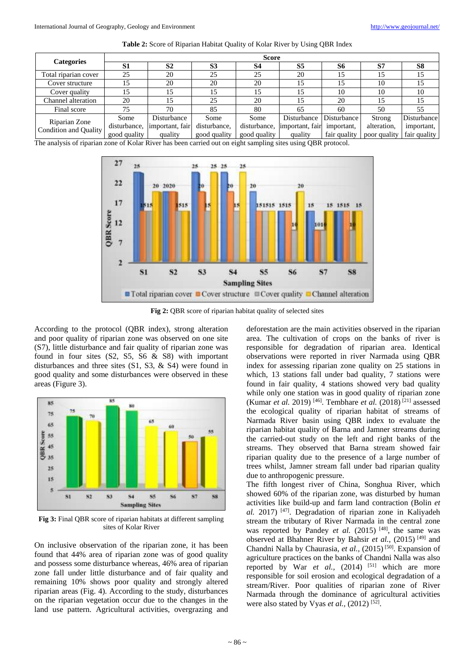| Table 2: Score of Riparian Habitat Quality of Kolar River by Using QBR Index |  |  |
|------------------------------------------------------------------------------|--|--|
|------------------------------------------------------------------------------|--|--|

| <b>Categories</b>                                                                                                                         | <b>Score</b> |                 |                |              |                    |              |              |                    |  |
|-------------------------------------------------------------------------------------------------------------------------------------------|--------------|-----------------|----------------|--------------|--------------------|--------------|--------------|--------------------|--|
|                                                                                                                                           | S1           | S <sub>2</sub>  | S <sub>3</sub> | S4           | S5                 | S6           | S7           | S8                 |  |
| Total riparian cover                                                                                                                      | 25           | 20              | 25             | 25           | 20                 | 15           | 15           | 15                 |  |
| Cover structure                                                                                                                           |              | 20              | 20             | 20           | 15                 | 15           | 10           | 15                 |  |
| Cover quality                                                                                                                             |              |                 |                | 15           |                    | 10           | 10           | 10                 |  |
| Channel alteration                                                                                                                        | 20           |                 | 25             | 20           | 15                 | 20           | 15           | 15                 |  |
| Final score                                                                                                                               | 75           | 70              | 85             | 80           | 65                 | 60           | 50           | 55                 |  |
| Riparian Zone<br>Condition and Quality                                                                                                    | Some         | Disturbance     | Some           | Some         | <b>Disturbance</b> | Disturbance  | Strong       | <b>Disturbance</b> |  |
|                                                                                                                                           | disturbance, | important, fair | disturbance,   | disturbance, | important, fair    | important,   | alteration,  | important,         |  |
|                                                                                                                                           | good quality | quality         | good quality   | good quality | quality            | fair quality | poor quality | fair quality       |  |
| The englysis of riperion zone of $V_{\text{other}}$ Biyer has been earned out on eight sempling sites using $\Omega_{\text{DD}}$ protocol |              |                 |                |              |                    |              |              |                    |  |

The analysis of riparian zone of Kolar River has been carried out on eight sampling sites using QBR protocol.



**Fig 2: OBR** score of riparian habitat quality of selected sites

According to the protocol (QBR index), strong alteration and poor quality of riparian zone was observed on one site (S7), little disturbance and fair quality of riparian zone was found in four sites  $(S2, S5, S6 \& S8)$  with important disturbances and three sites (S1, S3, & S4) were found in good quality and some disturbances were observed in these areas (Figure 3).



**Fig 3:** Final QBR score of riparian habitats at different sampling sites of Kolar River

On inclusive observation of the riparian zone, it has been found that 44% area of riparian zone was of good quality and possess some disturbance whereas, 46% area of riparian zone fall under little disturbance and of fair quality and remaining 10% shows poor quality and strongly altered riparian areas (Fig. 4). According to the study, disturbances on the riparian vegetation occur due to the changes in the land use pattern. Agricultural activities, overgrazing and

deforestation are the main activities observed in the riparian area. The cultivation of crops on the banks of river is responsible for degradation of riparian area. Identical observations were reported in river Narmada using QBR index for assessing riparian zone quality on 25 stations in which, 13 stations fall under bad quality, 7 stations were found in fair quality, 4 stations showed very bad quality while only one station was in good quality of riparian zone (Kumar *et al.* 2019)<sup>[46]</sup>. Tembhare *et al.* (2018)<sup>[21]</sup> assessed the ecological quality of riparian habitat of streams of Narmada River basin using QBR index to evaluate the riparian habitat quality of Barna and Jamner streams during the carried-out study on the left and right banks of the streams. They observed that Barna stream showed fair riparian quality due to the presence of a large number of trees whilst, Jamner stream fall under bad riparian quality due to anthropogenic pressure.

The fifth longest river of China, Songhua River, which showed 60% of the riparian zone, was disturbed by human activities like build-up and farm land contraction (Bolin *et al.* 2017) [47] . Degradation of riparian zone in Kaliyadeh stream the tributary of River Narmada in the central zone was reported by Pandey et al. (2015) <sup>[48]</sup>, the same was observed at Bhahner River by Bahsir *et al.*, (2015)<sup>[49]</sup> and Chandni Nalla by Chaurasia, et al., (2015)<sup>[50]</sup>. Expansion of agriculture practices on the banks of Chandni Nalla was also reported by War et al., (2014) <sup>[51]</sup> which are more responsible for soil erosion and ecological degradation of a stream/River. Poor qualities of riparian zone of River Narmada through the dominance of agricultural activities were also stated by Vyas *et al.*, (2012)<sup>[52]</sup>.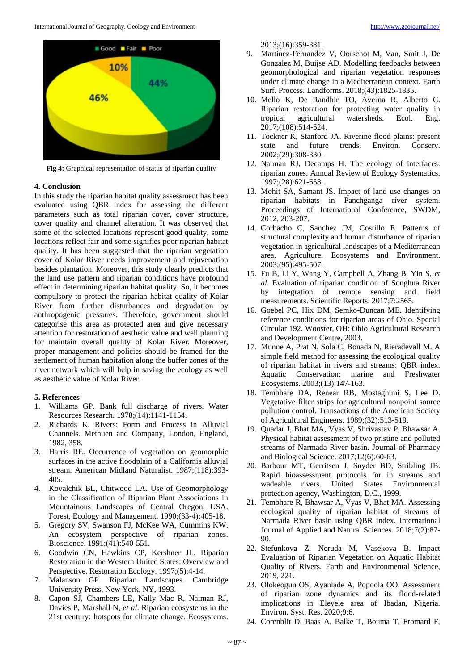

**Fig 4:** Graphical representation of status of riparian quality

# **4. Conclusion**

In this study the riparian habitat quality assessment has been evaluated using QBR index for assessing the different parameters such as total riparian cover, cover structure, cover quality and channel alteration. It was observed that some of the selected locations represent good quality, some locations reflect fair and some signifies poor riparian habitat quality. It has been suggested that the riparian vegetation cover of Kolar River needs improvement and rejuvenation besides plantation. Moreover, this study clearly predicts that the land use pattern and riparian conditions have profound effect in determining riparian habitat quality. So, it becomes compulsory to protect the riparian habitat quality of Kolar River from further disturbances and degradation by anthropogenic pressures. Therefore, government should categorise this area as protected area and give necessary attention for restoration of aesthetic value and well planning for maintain overall quality of Kolar River. Moreover, proper management and policies should be framed for the settlement of human habitation along the buffer zones of the river network which will help in saving the ecology as well as aesthetic value of Kolar River.

## **5. References**

- 1. Williams GP. Bank full discharge of rivers. Water Resources Research. 1978;(14):1141-1154.
- 2. Richards K. Rivers: Form and Process in Alluvial Channels. Methuen and Company, London, England, 1982, 358.
- 3. Harris RE. Occurrence of vegetation on geomorphic surfaces in the active floodplain of a California alluvial stream. American Midland Naturalist. 1987;(118):393- 405.
- 4. Kovalchik BL, Chitwood LA. Use of Geomorphology in the Classification of Riparian Plant Associations in Mountainous Landscapes of Central Oregon, USA. Forest, Ecology and Management. 1990;(33-4):405-18.
- 5. Gregory SV, Swanson FJ, McKee WA, Cummins KW. An ecosystem perspective of riparian zones. Bioscience. 1991;(41):540-551.
- 6. Goodwin CN, Hawkins CP, Kershner JL. Riparian Restoration in the Western United States: Overview and Perspective. Restoration Ecology. 1997;(5):4-14.
- 7. Malanson GP. Riparian Landscapes. Cambridge University Press, New York, NY, 1993.
- 8. Capon SJ, Chambers LE, Nally Mac R, Naiman RJ, Davies P, Marshall N, *et al*. Riparian ecosystems in the 21st century: hotspots for climate change. Ecosystems.

2013;(16):359-381.

- 9. Martinez-Fernandez V, Oorschot M, Van, Smit J, De Gonzalez M, Buijse AD. Modelling feedbacks between geomorphological and riparian vegetation responses under climate change in a Mediterranean context. Earth Surf. Process. Landforms. 2018;(43):1825-1835.
- 10. Mello K, De Randhir TO, Averna R, Alberto C. Riparian restoration for protecting water quality in tropical agricultural watersheds. Ecol. Eng. 2017;(108):514-524.
- 11. Tockner K, Stanford JA. Riverine flood plains: present state and future trends. Environ. Conserv. 2002;(29):308-330.
- 12. Naiman RJ, Decamps H. The ecology of interfaces: riparian zones. Annual Review of Ecology Systematics. 1997;(28):621-658.
- 13. Mohit SA, Samant JS. Impact of land use changes on riparian habitats in Panchganga river system. Proceedings of International Conference, SWDM, 2012, 203-207.
- 14. Corbacho C, Sanchez JM, Costillo E. Patterns of structural complexity and human disturbance of riparian vegetation in agricultural landscapes of a Mediterranean area. Agriculture. Ecosystems and Environment. 2003;(95):495-507.
- 15. Fu B, Li Y, Wang Y, Campbell A, Zhang B, Yin S, *et al*. Evaluation of riparian condition of Songhua River by integration of remote sensing and field measurements. Scientific Reports. 2017;7:2565.
- 16. Goebel PC, Hix DM, Semko-Duncan ME. Identifying reference conditions for riparian areas of Ohio. Special Circular 192. Wooster, OH: Ohio Agricultural Research and Development Centre, 2003.
- 17. Munne A, Prat N, Sola C, Bonada N, Rieradevall M. A simple field method for assessing the ecological quality of riparian habitat in rivers and streams: QBR index. Aquatic Conservation: marine and Freshwater Ecosystems. 2003;(13):147-163.
- 18. Tembhare DA, Renear RB, Mostaghimi S, Lee D. Vegetative filter strips for agricultural nonpoint source pollution control. Transactions of the American Society of Agricultural Engineers. 1989;(32):513-519.
- 19. Quadar J, Bhat MA, Vyas V, Shrivastav P, Bhawsar A. Physical habitat assessment of two pristine and polluted streams of Narmada River basin. Journal of Pharmacy and Biological Science. 2017;12(6):60-63.
- 20. Barbour MT, Gerritsen J, Snyder BD, Stribling JB. Rapid bioassessment protocols for in streams and wadeable rivers. United States Environmental protection agency, Washington, D.C., 1999.
- 21. Tembhare R, Bhawsar A, Vyas V, Bhat MA. Assessing ecological quality of riparian habitat of streams of Narmada River basin using QBR index. International Journal of Applied and Natural Sciences. 2018;7(2):87- 90.
- 22. Stefunkova Z, Neruda M, Vasekova B. Impact Evaluation of Riparian Vegetation on Aquatic Habitat Quality of Rivers. Earth and Environmental Science, 2019, 221.
- 23. Olokeogun OS, Ayanlade A, Popoola OO. Assessment of riparian zone dynamics and its flood-related implications in Eleyele area of Ibadan, Nigeria. Environ. Syst. Res. 2020;9:6.
- 24. Corenblit D, Baas A, Balke T, Bouma T, Fromard F,